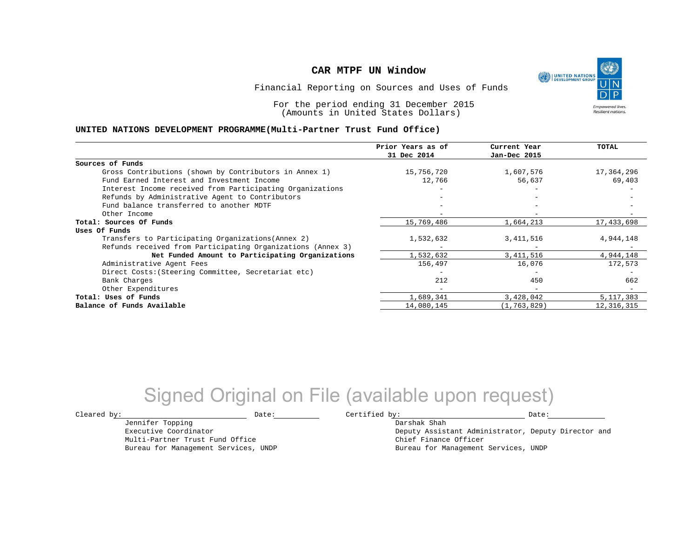

Financial Reporting on Sources and Uses of Funds

For the period ending 31 December 2015 (Amounts in United States Dollars)

#### **UNITED NATIONS DEVELOPMENT PROGRAMME(Multi-Partner Trust Fund Office)**

|                                                             | Prior Years as of<br>31 Dec 2014 | Current Year<br>Jan-Dec 2015 | TOTAL       |
|-------------------------------------------------------------|----------------------------------|------------------------------|-------------|
|                                                             |                                  |                              |             |
| Sources of Funds                                            |                                  |                              |             |
| Gross Contributions (shown by Contributors in Annex 1)      | 15,756,720                       | 1,607,576                    | 17,364,296  |
| Fund Earned Interest and Investment Income                  | 12,766                           | 56,637                       | 69,403      |
| Interest Income received from Participating Organizations   |                                  |                              |             |
| Refunds by Administrative Agent to Contributors             |                                  |                              |             |
| Fund balance transferred to another MDTF                    |                                  |                              |             |
| Other Income                                                |                                  |                              |             |
| Total: Sources Of Funds                                     | 15,769,486                       | 1,664,213                    | 17,433,698  |
| Uses Of Funds                                               |                                  |                              |             |
| Transfers to Participating Organizations (Annex 2)          | 1,532,632                        | 3,411,516                    | 4,944,148   |
| Refunds received from Participating Organizations (Annex 3) |                                  |                              |             |
| Net Funded Amount to Participating Organizations            | 1,532,632                        | 3,411,516                    | 4,944,148   |
| Administrative Agent Fees                                   | 156,497                          | 16,076                       | 172,573     |
| Direct Costs: (Steering Committee, Secretariat etc)         |                                  |                              |             |
| Bank Charges                                                | 212                              | 450                          | 662         |
| Other Expenditures                                          |                                  | $\overline{\phantom{0}}$     |             |
| Total: Uses of Funds                                        | 1,689,341                        | 3,428,042                    | 5, 117, 383 |
| Balance of Funds Available                                  | 14,080,145                       | (1, 763, 829)                | 12,316,315  |

## Signed Original on File (available upon request)

 $\texttt{Cleared by:}\footnotesize \begin{minipage}{0.9\linewidth} \texttt{Date:}\footnotesize \begin{minipage}{0.9\linewidth} \texttt{Date:}\footnotesize \begin{minipage}{0.9\linewidth} \end{minipage} \end{minipage}$ 

Jennifer Topping Executive Coordinator

Multi-Partner Trust Fund Office Bureau for Management Services, UNDP

Darshak Shah Deputy Assistant Administrator, Deputy Director and Chief Finance Officer Bureau for Management Services, UNDP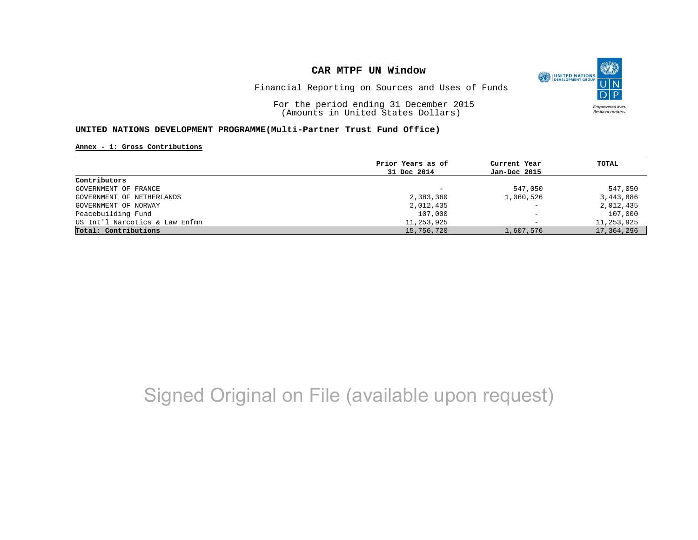

Financial Reporting on Sources and Uses of Funds

For the period ending 31 December 2015 (Amounts in United States Dollars)

#### **UNITED NATIONS DEVELOPMENT PROGRAMME(Multi-Partner Trust Fund Office)**

**Annex - 1: Gross Contributions**

|                                | Prior Years as of        | Current Year                 | TOTAL      |
|--------------------------------|--------------------------|------------------------------|------------|
|                                | 31 Dec 2014              | Jan-Dec 2015                 |            |
| Contributors                   |                          |                              |            |
| GOVERNMENT OF FRANCE           | $\overline{\phantom{m}}$ | 547,050                      | 547,050    |
| GOVERNMENT OF NETHERLANDS      | 2,383,360                | 1,060,526                    | 3,443,886  |
| GOVERNMENT OF NORWAY           | 2,012,435                | $\overline{\phantom{a}}$     | 2,012,435  |
| Peacebuilding Fund             | 107,000                  | $\qquad \qquad \blacksquare$ | 107,000    |
| US Int'l Narcotics & Law Enfmn | 11,253,925               | $\overline{\phantom{0}}$     | 11,253,925 |
| Total: Contributions           | 15,756,720               | 1,607,576                    | 17,364,296 |

## Signed Original on File (available upon request)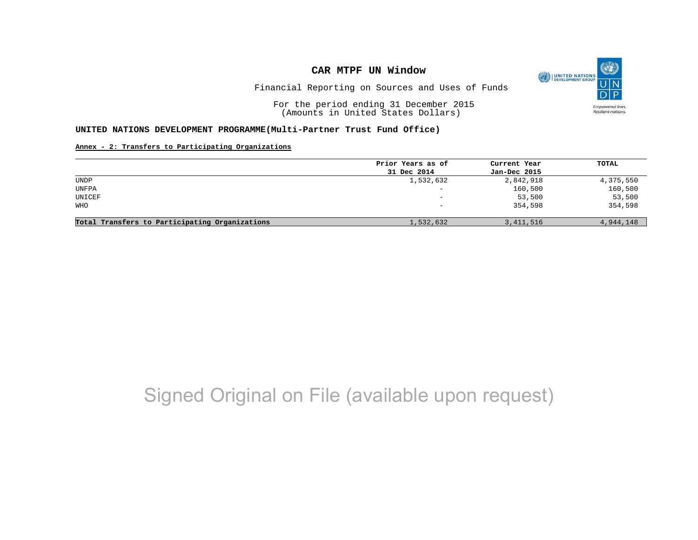

Financial Reporting on Sources and Uses of Funds

For the period ending 31 December 2015 (Amounts in United States Dollars)

#### **UNITED NATIONS DEVELOPMENT PROGRAMME(Multi-Partner Trust Fund Office)**

#### **Annex - 2: Transfers to Participating Organizations**

|                                                | Prior Years as of | Current Year | TOTAL     |
|------------------------------------------------|-------------------|--------------|-----------|
|                                                | 31 Dec 2014       | Jan-Dec 2015 |           |
| UNDP                                           | 1,532,632         | 2,842,918    | 4,375,550 |
| UNFPA                                          | $\qquad \qquad -$ | 160,500      | 160,500   |
| UNICEF                                         | $\qquad \qquad -$ | 53,500       | 53,500    |
| WHO                                            | -                 | 354,598      | 354,598   |
|                                                |                   |              |           |
| Total Transfers to Participating Organizations | 1,532,632         | 3, 411, 516  | 4,944,148 |

## Signed Original on File (available upon request)